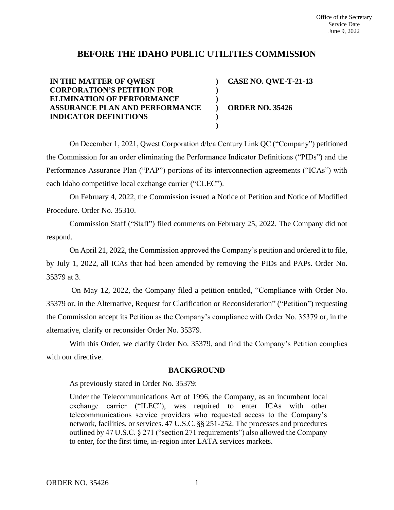# **BEFORE THE IDAHO PUBLIC UTILITIES COMMISSION**

#### **IN THE MATTER OF QWEST CORPORATION'S PETITION FOR ELIMINATION OF PERFORMANCE ASSURANCE PLAN AND PERFORMANCE INDICATOR DEFINITIONS ) ) ) ) )**

**CASE NO. QWE-T-21-13**

**ORDER NO. 35426**

On December 1, 2021, Qwest Corporation d/b/a Century Link QC ("Company") petitioned the Commission for an order eliminating the Performance Indicator Definitions ("PIDs") and the Performance Assurance Plan ("PAP") portions of its interconnection agreements ("ICAs") with each Idaho competitive local exchange carrier ("CLEC").

**)**

On February 4, 2022, the Commission issued a Notice of Petition and Notice of Modified Procedure. Order No. 35310.

Commission Staff ("Staff") filed comments on February 25, 2022. The Company did not respond.

On April 21, 2022, the Commission approved the Company's petition and ordered it to file, by July 1, 2022, all ICAs that had been amended by removing the PIDs and PAPs. Order No. 35379 at 3.

On May 12, 2022, the Company filed a petition entitled, "Compliance with Order No. 35379 or, in the Alternative, Request for Clarification or Reconsideration" ("Petition") requesting the Commission accept its Petition as the Company's compliance with Order No. 35379 or, in the alternative, clarify or reconsider Order No. 35379.

With this Order, we clarify Order No. 35379, and find the Company's Petition complies with our directive.

# **BACKGROUND**

As previously stated in Order No. 35379:

Under the Telecommunications Act of 1996, the Company, as an incumbent local exchange carrier ("ILEC"), was required to enter ICAs with other telecommunications service providers who requested access to the Company's network, facilities, or services. 47 U.S.C. §§ 251-252. The processes and procedures outlined by 47 U.S.C. § 271 ("section 271 requirements") also allowed the Company to enter, for the first time, in-region inter LATA services markets.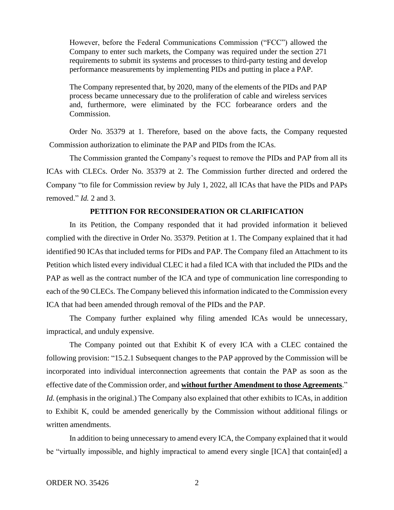However, before the Federal Communications Commission ("FCC") allowed the Company to enter such markets, the Company was required under the section 271 requirements to submit its systems and processes to third-party testing and develop performance measurements by implementing PIDs and putting in place a PAP.

The Company represented that, by 2020, many of the elements of the PIDs and PAP process became unnecessary due to the proliferation of cable and wireless services and, furthermore, were eliminated by the FCC forbearance orders and the Commission.

Order No. 35379 at 1. Therefore, based on the above facts, the Company requested Commission authorization to eliminate the PAP and PIDs from the ICAs.

The Commission granted the Company's request to remove the PIDs and PAP from all its ICAs with CLECs. Order No. 35379 at 2. The Commission further directed and ordered the Company "to file for Commission review by July 1, 2022, all ICAs that have the PIDs and PAPs removed." *Id.* 2 and 3.

# **PETITION FOR RECONSIDERATION OR CLARIFICATION**

In its Petition, the Company responded that it had provided information it believed complied with the directive in Order No. 35379. Petition at 1. The Company explained that it had identified 90 ICAs that included terms for PIDs and PAP. The Company filed an Attachment to its Petition which listed every individual CLEC it had a filed ICA with that included the PIDs and the PAP as well as the contract number of the ICA and type of communication line corresponding to each of the 90 CLECs. The Company believed this information indicated to the Commission every ICA that had been amended through removal of the PIDs and the PAP.

The Company further explained why filing amended ICAs would be unnecessary, impractical, and unduly expensive.

The Company pointed out that Exhibit K of every ICA with a CLEC contained the following provision: "15.2.1 Subsequent changes to the PAP approved by the Commission will be incorporated into individual interconnection agreements that contain the PAP as soon as the effective date of the Commission order, and **without further Amendment to those Agreements**." *Id.* (emphasis in the original.) The Company also explained that other exhibits to ICAs, in addition to Exhibit K, could be amended generically by the Commission without additional filings or written amendments.

In addition to being unnecessary to amend every ICA, the Company explained that it would be "virtually impossible, and highly impractical to amend every single [ICA] that contain[ed] a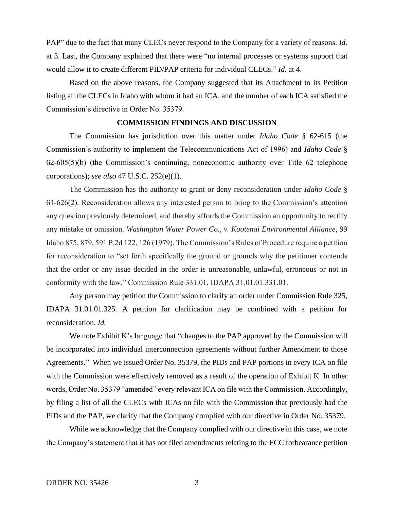PAP" due to the fact that many CLECs never respond to the Company for a variety of reasons. *Id.*  at 3. Last, the Company explained that there were "no internal processes or systems support that would allow it to create different PID/PAP criteria for individual CLECs." *Id.* at 4.

Based on the above reasons, the Company suggested that its Attachment to its Petition listing all the CLECs in Idaho with whom it had an ICA, and the number of each ICA satisfied the Commission's directive in Order No. 35379.

### **COMMISSION FINDINGS AND DISCUSSION**

The Commission has jurisdiction over this matter under *Idaho Code* § 62-615 (the Commission's authority to implement the Telecommunications Act of 1996) and *Idaho Code* § 62-605(5)(b) (the Commission's continuing, noneconomic authority over Title 62 telephone corporations); *see also* 47 U.S.C. 252(e)(1).

The Commission has the authority to grant or deny reconsideration under *Idaho Code* § 61-626(2). Reconsideration allows any interested person to bring to the Commission's attention any question previously determined, and thereby affords the Commission an opportunity to rectify any mistake or omission. *Washington Water Power Co., v. Kootenai Environmental Alliance*, 99 Idaho 875, 879, 591 P.2d 122, 126 (1979). The Commission's Rules of Procedure require a petition for reconsideration to "set forth specifically the ground or grounds why the petitioner contends that the order or any issue decided in the order is unreasonable, unlawful, erroneous or not in conformity with the law." Commission Rule 331.01, IDAPA 31.01.01.331.01.

Any person may petition the Commission to clarify an order under Commission Rule 325, IDAPA 31.01.01.325. A petition for clarification may be combined with a petition for reconsideration. *Id.* 

We note Exhibit K's language that "changes to the PAP approved by the Commission will be incorporated into individual interconnection agreements without further Amendment to those Agreements." When we issued Order No. 35379, the PIDs and PAP portions in every ICA on file with the Commission were effectively removed as a result of the operation of Exhibit K. In other words, Order No. 35379 "amended" every relevant ICA on file with the Commission. Accordingly, by filing a list of all the CLECs with ICAs on file with the Commission that previously had the PIDs and the PAP, we clarify that the Company complied with our directive in Order No. 35379.

While we acknowledge that the Company complied with our directive in this case, we note the Company's statement that it has not filed amendments relating to the FCC forbearance petition